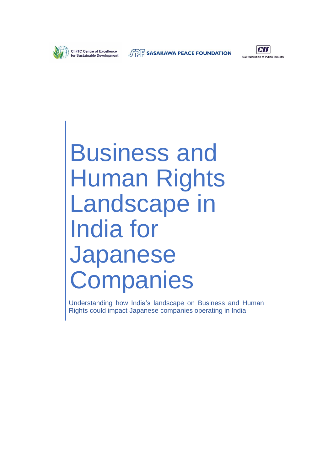

**SASAKAWA PEACE FOUNDATION** 



Business and Human Rights Landscape in India for Japanese **Companies** 

Understanding how India's landscape on Business and Human Rights could impact Japanese companies operating in India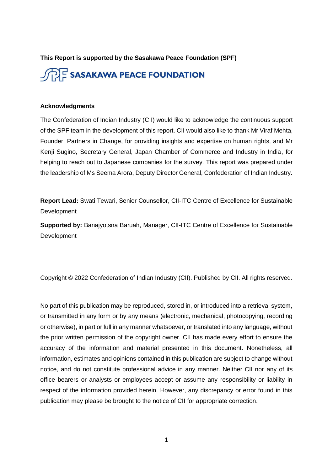**This Report is supported by the Sasakawa Peace Foundation (SPF)**



#### **Acknowledgments**

The Confederation of Indian Industry (CII) would like to acknowledge the continuous support of the SPF team in the development of this report. CII would also like to thank Mr Viraf Mehta, Founder, Partners in Change, for providing insights and expertise on human rights, and Mr Kenji Sugino, Secretary General, Japan Chamber of Commerce and Industry in India, for helping to reach out to Japanese companies for the survey. This report was prepared under the leadership of Ms Seema Arora, Deputy Director General, Confederation of Indian Industry.

**Report Lead:** Swati Tewari, Senior Counsellor, CII-ITC Centre of Excellence for Sustainable **Development** 

**Supported by:** Banajyotsna Baruah, Manager, CII-ITC Centre of Excellence for Sustainable Development

Copyright © 2022 Confederation of Indian Industry (CII). Published by CII. All rights reserved.

No part of this publication may be reproduced, stored in, or introduced into a retrieval system, or transmitted in any form or by any means (electronic, mechanical, photocopying, recording or otherwise), in part or full in any manner whatsoever, or translated into any language, without the prior written permission of the copyright owner. CII has made every effort to ensure the accuracy of the information and material presented in this document. Nonetheless, all information, estimates and opinions contained in this publication are subject to change without notice, and do not constitute professional advice in any manner. Neither CII nor any of its office bearers or analysts or employees accept or assume any responsibility or liability in respect of the information provided herein. However, any discrepancy or error found in this publication may please be brought to the notice of CII for appropriate correction.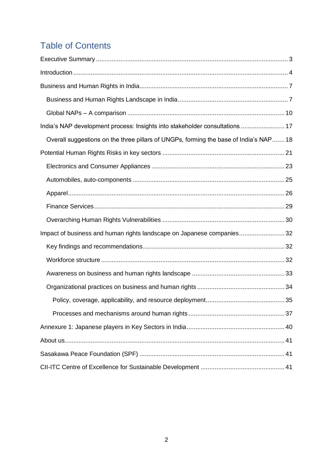# Table of Contents

| India's NAP development process: Insights into stakeholder consultations  17          |  |
|---------------------------------------------------------------------------------------|--|
| Overall suggestions on the three pillars of UNGPs, forming the base of India's NAP 18 |  |
|                                                                                       |  |
|                                                                                       |  |
|                                                                                       |  |
|                                                                                       |  |
|                                                                                       |  |
|                                                                                       |  |
| Impact of business and human rights landscape on Japanese companies32                 |  |
|                                                                                       |  |
|                                                                                       |  |
|                                                                                       |  |
|                                                                                       |  |
|                                                                                       |  |
|                                                                                       |  |
|                                                                                       |  |
|                                                                                       |  |
|                                                                                       |  |
|                                                                                       |  |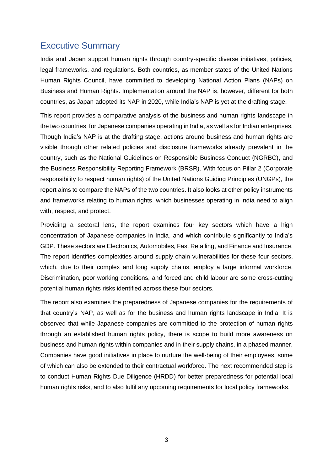## <span id="page-3-0"></span>Executive Summary

India and Japan support human rights through country-specific diverse initiatives, policies, legal frameworks, and regulations. Both countries, as member states of the United Nations Human Rights Council, have committed to developing National Action Plans (NAPs) on Business and Human Rights. Implementation around the NAP is, however, different for both countries, as Japan adopted its NAP in 2020, while India's NAP is yet at the drafting stage.

This report provides a comparative analysis of the business and human rights landscape in the two countries, for Japanese companies operating in India, as well as for Indian enterprises. Though India's NAP is at the drafting stage, actions around business and human rights are visible through other related policies and disclosure frameworks already prevalent in the country, such as the National Guidelines on Responsible Business Conduct (NGRBC), and the Business Responsibility Reporting Framework (BRSR). With focus on Pillar 2 (Corporate responsibility to respect human rights) of the United Nations Guiding Principles (UNGPs), the report aims to compare the NAPs of the two countries. It also looks at other policy instruments and frameworks relating to human rights, which businesses operating in India need to align with, respect, and protect.

Providing a sectoral lens, the report examines four key sectors which have a high concentration of Japanese companies in India, and which contribute significantly to India's GDP. These sectors are Electronics, Automobiles, Fast Retailing, and Finance and Insurance. The report identifies complexities around supply chain vulnerabilities for these four sectors, which, due to their complex and long supply chains, employ a large informal workforce. Discrimination, poor working conditions, and forced and child labour are some cross-cutting potential human rights risks identified across these four sectors.

The report also examines the preparedness of Japanese companies for the requirements of that country's NAP, as well as for the business and human rights landscape in India. It is observed that while Japanese companies are committed to the protection of human rights through an established human rights policy, there is scope to build more awareness on business and human rights within companies and in their supply chains, in a phased manner. Companies have good initiatives in place to nurture the well-being of their employees, some of which can also be extended to their contractual workforce. The next recommended step is to conduct Human Rights Due Diligence (HRDD) for better preparedness for potential local human rights risks, and to also fulfil any upcoming requirements for local policy frameworks.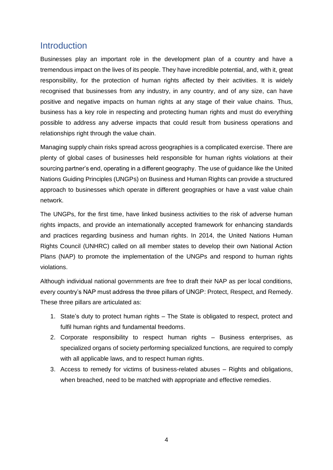## <span id="page-4-0"></span>**Introduction**

Businesses play an important role in the development plan of a country and have a tremendous impact on the lives of its people. They have incredible potential, and, with it, great responsibility, for the protection of human rights affected by their activities. It is widely recognised that businesses from any industry, in any country, and of any size, can have positive and negative impacts on human rights at any stage of their value chains. Thus, business has a key role in respecting and protecting human rights and must do everything possible to address any adverse impacts that could result from business operations and relationships right through the value chain.

Managing supply chain risks spread across geographies is a complicated exercise. There are plenty of global cases of businesses held responsible for human rights violations at their sourcing partner's end, operating in a different geography. The use of guidance like the United Nations Guiding Principles (UNGPs) on Business and Human Rights can provide a structured approach to businesses which operate in different geographies or have a vast value chain network.

The UNGPs, for the first time, have linked business activities to the risk of adverse human rights impacts, and provide an internationally accepted framework for enhancing standards and practices regarding business and human rights. In 2014, the United Nations Human Rights Council (UNHRC) called on all member states to develop their own National Action Plans (NAP) to promote the implementation of the UNGPs and respond to human rights violations.

Although individual national governments are free to draft their NAP as per local conditions, every country's NAP must address the three pillars of UNGP: Protect, Respect, and Remedy. These three pillars are articulated as:

- 1. State's duty to protect human rights The State is obligated to respect, protect and fulfil human rights and fundamental freedoms.
- 2. Corporate responsibility to respect human rights Business enterprises, as specialized organs of society performing specialized functions, are required to comply with all applicable laws, and to respect human rights.
- 3. Access to remedy for victims of business-related abuses Rights and obligations, when breached, need to be matched with appropriate and effective remedies.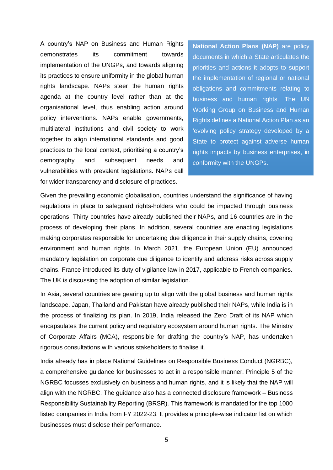A country's NAP on Business and Human Rights demonstrates its commitment towards implementation of the UNGPs, and towards aligning its practices to ensure uniformity in the global human rights landscape. NAPs steer the human rights agenda at the country level rather than at the organisational level, thus enabling action around policy interventions. NAPs enable governments, multilateral institutions and civil society to work together to align international standards and good practices to the local context, prioritising a country's demography and subsequent needs and vulnerabilities with prevalent legislations. NAPs call for wider transparency and disclosure of practices.

**National Action Plans (NAP)** are policy documents in which a State articulates the priorities and actions it adopts to support the implementation of regional or national obligations and commitments relating to business and human rights. The UN Working Group on Business and Human Rights defines a National Action Plan as an 'evolving policy strategy developed by a State to protect against adverse human rights impacts by business enterprises, in conformity with the UNGPs.'

Given the prevailing economic globalisation, countries understand the significance of having regulations in place to safeguard rights-holders who could be impacted through business operations. Thirty countries have already published their NAPs, and 16 countries are in the process of developing their plans. In addition, several countries are enacting legislations making corporates responsible for undertaking due diligence in their supply chains, covering environment and human rights. In March 2021, the European Union (EU) announced mandatory legislation on corporate due diligence to identify and address risks across supply chains. France introduced its duty of vigilance law in 2017, applicable to French companies. The UK is discussing the adoption of similar legislation.

In Asia, several countries are gearing up to align with the global business and human rights landscape. Japan, Thailand and Pakistan have already published their NAPs, while India is in the process of finalizing its plan. In 2019, India released the Zero Draft of its NAP which encapsulates the current policy and regulatory ecosystem around human rights. The Ministry of Corporate Affairs (MCA), responsible for drafting the country's NAP, has undertaken rigorous consultations with various stakeholders to finalise it.

India already has in place National Guidelines on Responsible Business Conduct (NGRBC), a comprehensive guidance for businesses to act in a responsible manner. Principle 5 of the NGRBC focusses exclusively on business and human rights, and it is likely that the NAP will align with the NGRBC. The guidance also has a connected disclosure framework – Business Responsibility Sustainability Reporting (BRSR). This framework is mandated for the top 1000 listed companies in India from FY 2022-23. It provides a principle-wise indicator list on which businesses must disclose their performance.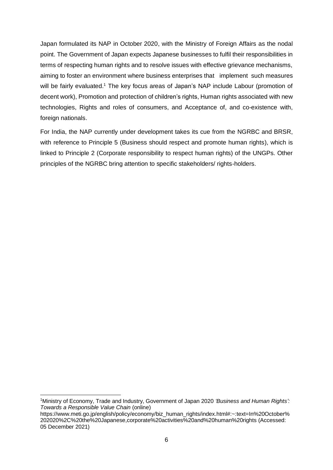Japan formulated its NAP in October 2020, with the Ministry of Foreign Affairs as the nodal point. The Government of Japan expects Japanese businesses to fulfil their responsibilities in terms of respecting human rights and to resolve issues with effective grievance mechanisms, aiming to foster an environment where business enterprises that implement such measures will be fairly evaluated.<sup>1</sup> The key focus areas of Japan's NAP include Labour (promotion of decent work), Promotion and protection of children's rights, Human rights associated with new technologies, Rights and roles of consumers, and Acceptance of, and co-existence with, foreign nationals.

For India, the NAP currently under development takes its cue from the NGRBC and BRSR, with reference to Principle 5 (Business should respect and promote human rights), which is linked to Principle 2 (Corporate responsibility to respect human rights) of the UNGPs. Other principles of the NGRBC bring attention to specific stakeholders/ rights-holders.

<sup>1</sup>Ministry of Economy, Trade and Industry, Government of Japan 2020 *'Business and Human Rights': Towards a Responsible Value Chain* (online)

https://www.meti.go.jp/english/policy/economy/biz\_human\_rights/index.html#:~:text=In%20October% 202020%2C%20the%20Japanese,corporate%20activities%20and%20human%20rights (Accessed: 05 December 2021)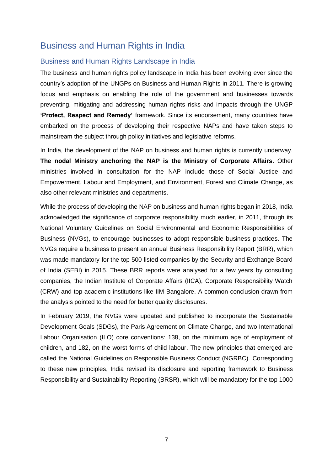# <span id="page-7-0"></span>Business and Human Rights in India

#### <span id="page-7-1"></span>Business and Human Rights Landscape in India

The business and human rights policy landscape in India has been evolving ever since the country's adoption of the UNGPs on Business and Human Rights in 2011. There is growing focus and emphasis on enabling the role of the government and businesses towards preventing, mitigating and addressing human rights risks and impacts through the UNGP **'Protect, Respect and Remedy'** framework. Since its endorsement, many countries have embarked on the process of developing their respective NAPs and have taken steps to mainstream the subject through policy initiatives and legislative reforms.

In India, the development of the NAP on business and human rights is currently underway. **The nodal Ministry anchoring the NAP is the Ministry of Corporate Affairs.** Other ministries involved in consultation for the NAP include those of Social Justice and Empowerment, Labour and Employment, and Environment, Forest and Climate Change, as also other relevant ministries and departments.

While the process of developing the NAP on business and human rights began in 2018, India acknowledged the significance of corporate responsibility much earlier, in 2011, through its National Voluntary Guidelines on Social Environmental and Economic Responsibilities of Business (NVGs), to encourage businesses to adopt responsible business practices. The NVGs require a business to present an annual Business Responsibility Report (BRR), which was made mandatory for the top 500 listed companies by the Security and Exchange Board of India (SEBI) in 2015. These BRR reports were analysed for a few years by consulting companies, the Indian Institute of Corporate Affairs (IICA), Corporate Responsibility Watch (CRW) and top academic institutions like IIM-Bangalore. A common conclusion drawn from the analysis pointed to the need for better quality disclosures.

In February 2019, the NVGs were updated and published to incorporate the Sustainable Development Goals (SDGs), the Paris Agreement on Climate Change, and two International Labour Organisation (ILO) core conventions: 138, on the minimum age of employment of children, and 182, on the worst forms of child labour. The new principles that emerged are called the National Guidelines on Responsible Business Conduct (NGRBC). Corresponding to these new principles, India revised its disclosure and reporting framework to Business Responsibility and Sustainability Reporting (BRSR), which will be mandatory for the top 1000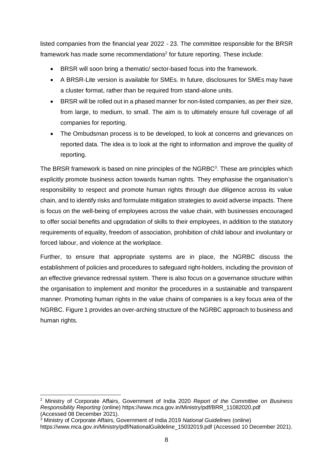listed companies from the financial year 2022 - 23. The committee responsible for the BRSR framework has made some recommendations<sup>2</sup> for future reporting. These include:

- BRSR will soon bring a thematic/ sector-based focus into the framework.
- A BRSR-Lite version is available for SMEs. In future, disclosures for SMEs may have a cluster format, rather than be required from stand-alone units.
- BRSR will be rolled out in a phased manner for non-listed companies, as per their size, from large, to medium, to small. The aim is to ultimately ensure full coverage of all companies for reporting.
- The Ombudsman process is to be developed, to look at concerns and grievances on reported data. The idea is to look at the right to information and improve the quality of reporting.

The BRSR framework is based on nine principles of the NGRBC<sup>3</sup>. These are principles which explicitly promote business action towards human rights. They emphasise the organisation's responsibility to respect and promote human rights through due diligence across its value chain, and to identify risks and formulate mitigation strategies to avoid adverse impacts. There is focus on the well-being of employees across the value chain, with businesses encouraged to offer social benefits and upgradation of skills to their employees, in addition to the statutory requirements of equality, freedom of association, prohibition of child labour and involuntary or forced labour, and violence at the workplace.

Further, to ensure that appropriate systems are in place, the NGRBC discuss the establishment of policies and procedures to safeguard right-holders, including the provision of an effective grievance redressal system. There is also focus on a governance structure within the organisation to implement and monitor the procedures in a sustainable and transparent manner. Promoting human rights in the value chains of companies is a key focus area of the NGRBC. Figure 1 provides an over-arching structure of the NGRBC approach to business and human rights.

<sup>2</sup> Ministry of Corporate Affairs, Government of India 2020 *Report of the Committee on Business Responsibility Reporting* (online) https://www.mca.gov.in/Ministry/pdf/BRR\_11082020.pdf (Accessed 08 December 2021).

<sup>3</sup> Ministry of Corporate Affairs, Government of India 2019 *National Guidelines* (online) https://www.mca.gov.in/Ministry/pdf/NationalGuildeline\_15032019.pdf (Accessed 10 December 2021).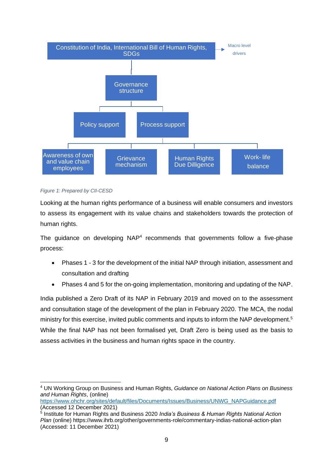

#### *Figure 1: Prepared by CII-CESD*

Looking at the human rights performance of a business will enable consumers and investors to assess its engagement with its value chains and stakeholders towards the protection of human rights.

The guidance on developing NAP<sup>4</sup> recommends that governments follow a five-phase process:

- Phases 1 3 for the development of the initial NAP through initiation, assessment and consultation and drafting
- Phases 4 and 5 for the on-going implementation, monitoring and updating of the NAP.

India published a Zero Draft of its NAP in February 2019 and moved on to the assessment and consultation stage of the development of the plan in February 2020. The MCA, the nodal ministry for this exercise, invited public comments and inputs to inform the NAP development.<sup>5</sup> While the final NAP has not been formalised yet, Draft Zero is being used as the basis to assess activities in the business and human rights space in the country.

<sup>4</sup> UN Working Group on Business and Human Rights, *Guidance on National Action Plans on Business and Human Rights*, (online)

[https://www.ohchr.org/sites/default/files/Documents/Issues/Business/UNWG\\_NAPGuidance.pdf](https://www.ohchr.org/sites/default/files/Documents/Issues/Business/UNWG_NAPGuidance.pdf) (Accessed 12 December 2021)

<sup>5</sup> Institute for Human Rights and Business 2020 *India's Business & Human Rights National Action Plan* (online) https://www.ihrb.org/other/governments-role/commentary-indias-national-action-plan (Accessed: 11 December 2021)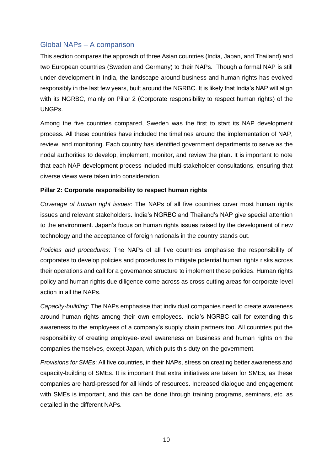## <span id="page-10-0"></span>Global NAPs – A comparison

This section compares the approach of three Asian countries (India, Japan, and Thailand) and two European countries (Sweden and Germany) to their NAPs. Though a formal NAP is still under development in India, the landscape around business and human rights has evolved responsibly in the last few years, built around the NGRBC. It is likely that India's NAP will align with its NGRBC, mainly on Pillar 2 (Corporate responsibility to respect human rights) of the UNGPs.

Among the five countries compared, Sweden was the first to start its NAP development process. All these countries have included the timelines around the implementation of NAP, review, and monitoring. Each country has identified government departments to serve as the nodal authorities to develop, implement, monitor, and review the plan. It is important to note that each NAP development process included multi-stakeholder consultations, ensuring that diverse views were taken into consideration.

#### **Pillar 2: Corporate responsibility to respect human rights**

*Coverage of human right issues*: The NAPs of all five countries cover most human rights issues and relevant stakeholders. India's NGRBC and Thailand's NAP give special attention to the environment. Japan's focus on human rights issues raised by the development of new technology and the acceptance of foreign nationals in the country stands out.

*Policies and procedures:* The NAPs of all five countries emphasise the responsibility of corporates to develop policies and procedures to mitigate potential human rights risks across their operations and call for a governance structure to implement these policies. Human rights policy and human rights due diligence come across as cross-cutting areas for corporate-level action in all the NAPs.

*Capacity-building*: The NAPs emphasise that individual companies need to create awareness around human rights among their own employees. India's NGRBC call for extending this awareness to the employees of a company's supply chain partners too. All countries put the responsibility of creating employee-level awareness on business and human rights on the companies themselves, except Japan, which puts this duty on the government.

*Provisions for SMEs*: All five countries, in their NAPs, stress on creating better awareness and capacity-building of SMEs. It is important that extra initiatives are taken for SMEs, as these companies are hard-pressed for all kinds of resources. Increased dialogue and engagement with SMEs is important, and this can be done through training programs, seminars, etc. as detailed in the different NAPs.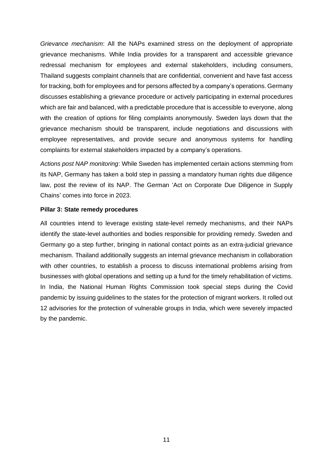*Grievance mechanism*: All the NAPs examined stress on the deployment of appropriate grievance mechanisms. While India provides for a transparent and accessible grievance redressal mechanism for employees and external stakeholders, including consumers, Thailand suggests complaint channels that are confidential, convenient and have fast access for tracking, both for employees and for persons affected by a company's operations. Germany discusses establishing a grievance procedure or actively participating in external procedures which are fair and balanced, with a predictable procedure that is accessible to everyone, along with the creation of options for filing complaints anonymously. Sweden lays down that the grievance mechanism should be transparent, include negotiations and discussions with employee representatives, and provide secure and anonymous systems for handling complaints for external stakeholders impacted by a company's operations.

*Actions post NAP monitoring*: While Sweden has implemented certain actions stemming from its NAP, Germany has taken a bold step in passing a mandatory human rights due diligence law, post the review of its NAP. The German 'Act on Corporate Due Diligence in Supply Chains' comes into force in 2023.

#### **Pillar 3: State remedy procedures**

All countries intend to leverage existing state-level remedy mechanisms, and their NAPs identify the state-level authorities and bodies responsible for providing remedy. Sweden and Germany go a step further, bringing in national contact points as an extra-judicial grievance mechanism. Thailand additionally suggests an internal grievance mechanism in collaboration with other countries, to establish a process to discuss international problems arising from businesses with global operations and setting up a fund for the timely rehabilitation of victims. In India, the National Human Rights Commission took special steps during the Covid pandemic by issuing guidelines to the states for the protection of migrant workers. It rolled out 12 advisories for the protection of vulnerable groups in India, which were severely impacted by the pandemic.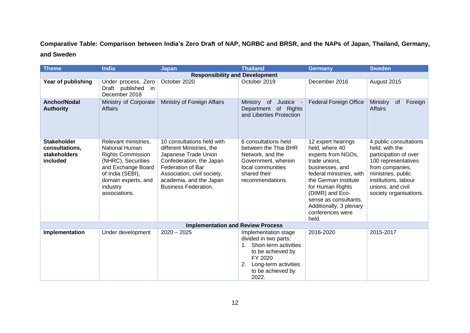**Comparative Table: Comparison between India's Zero Draft of NAP, NGRBC and BRSR, and the NAPs of Japan, Thailand, Germany, and Sweden**

| <b>Theme</b>                                                     | <b>India</b>                                                                                                                                                                                  | <b>Japan</b>                                                                                                                                                                                                              | <b>Thailand</b>                                                                                                                                                                   | <b>Germany</b>                                                                                                                                                                                                                                                             | <b>Sweden</b>                                                                                                                                                                                            |
|------------------------------------------------------------------|-----------------------------------------------------------------------------------------------------------------------------------------------------------------------------------------------|---------------------------------------------------------------------------------------------------------------------------------------------------------------------------------------------------------------------------|-----------------------------------------------------------------------------------------------------------------------------------------------------------------------------------|----------------------------------------------------------------------------------------------------------------------------------------------------------------------------------------------------------------------------------------------------------------------------|----------------------------------------------------------------------------------------------------------------------------------------------------------------------------------------------------------|
| <b>Responsibility and Development</b>                            |                                                                                                                                                                                               |                                                                                                                                                                                                                           |                                                                                                                                                                                   |                                                                                                                                                                                                                                                                            |                                                                                                                                                                                                          |
| Year of publishing                                               | Under process, Zero<br>Draft published<br>in<br>December 2018                                                                                                                                 | October 2020                                                                                                                                                                                                              | October 2019                                                                                                                                                                      | December 2016                                                                                                                                                                                                                                                              | August 2015                                                                                                                                                                                              |
| <b>Anchor/Nodal</b><br><b>Authority</b>                          | Ministry of Corporate<br><b>Affairs</b>                                                                                                                                                       | Ministry of Foreign Affairs                                                                                                                                                                                               | Justice -<br>Ministry<br>of<br>Department of Rights<br>and Liberties Protection                                                                                                   | <b>Federal Foreign Office</b>                                                                                                                                                                                                                                              | Ministry<br>Foreign<br><b>of</b><br><b>Affairs</b>                                                                                                                                                       |
| <b>Stakeholder</b><br>consultations,<br>stakeholders<br>included | Relevant ministries,<br><b>National Human</b><br><b>Rights Commission</b><br>(NHRC), Securities<br>and Exchange Board<br>of India (SEBI),<br>domain experts, and<br>industry<br>associations. | 10 consultations held with<br>different Ministries, the<br>Japanese Trade Union<br>Confederation, the Japan<br>Federation of Bar<br>Association, civil society,<br>academia, and the Japan<br><b>Business Federation.</b> | 6 consultations held<br>between the Thai BHR<br>Network, and the<br>Government, wherein<br>local communities<br>shared their<br>recommendations.                                  | 12 expert hearings<br>held, where 40<br>experts from NGOs,<br>trade unions,<br>businesses, and<br>federal ministries, with<br>the German Institute<br>for Human Rights<br>(DIMR) and Eco-<br>sense as consultants.<br>Additionally, 3 plenary<br>conferences were<br>held. | 4 public consultations<br>held, with the<br>participation of over<br>100 representatives<br>from companies,<br>ministries, public<br>institutions, labour<br>unions, and civil<br>society organisations. |
| <b>Implementation and Review Process</b>                         |                                                                                                                                                                                               |                                                                                                                                                                                                                           |                                                                                                                                                                                   |                                                                                                                                                                                                                                                                            |                                                                                                                                                                                                          |
| Implementation                                                   | Under development                                                                                                                                                                             | $2020 - 2025$                                                                                                                                                                                                             | Implementation stage<br>divided in two parts:<br>Short-term activities<br>$1_{\cdot}$<br>to be achieved by<br>FY 2020<br>2.<br>Long-term activities<br>to be achieved by<br>2022. | 2016-2020                                                                                                                                                                                                                                                                  | 2015-2017                                                                                                                                                                                                |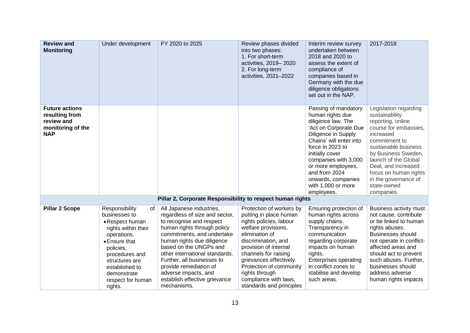| <b>Review and</b><br><b>Monitoring</b>                                                   | Under development                                                                                                                                                                                                                 | FY 2020 to 2025                                                                                                                                                                                                                                                                                                                                                               | Review phases divided<br>into two phases:<br>1. For short-term<br>activities, 2019-2020<br>2. For long-term<br>activities, 2021-2022                                                                                                                                                                                        | Interim review survey<br>undertaken between<br>2018 and 2020 to<br>assess the extent of<br>compliance of<br>companies based in<br>Germany with the due<br>diligence obligations<br>set out in the NAP.                                                                                                    | 2017-2018                                                                                                                                                                                                                                                                                       |
|------------------------------------------------------------------------------------------|-----------------------------------------------------------------------------------------------------------------------------------------------------------------------------------------------------------------------------------|-------------------------------------------------------------------------------------------------------------------------------------------------------------------------------------------------------------------------------------------------------------------------------------------------------------------------------------------------------------------------------|-----------------------------------------------------------------------------------------------------------------------------------------------------------------------------------------------------------------------------------------------------------------------------------------------------------------------------|-----------------------------------------------------------------------------------------------------------------------------------------------------------------------------------------------------------------------------------------------------------------------------------------------------------|-------------------------------------------------------------------------------------------------------------------------------------------------------------------------------------------------------------------------------------------------------------------------------------------------|
| <b>Future actions</b><br>resulting from<br>review and<br>monitoring of the<br><b>NAP</b> |                                                                                                                                                                                                                                   |                                                                                                                                                                                                                                                                                                                                                                               |                                                                                                                                                                                                                                                                                                                             | Passing of mandatory<br>human rights due<br>diligence law. The<br>'Act on Corporate Due<br>Diligence in Supply<br>Chains' will enter into<br>force in 2023 to<br>initially cover<br>companies with 3,000<br>or more employees,<br>and from 2024<br>onwards, companies<br>with 1,000 or more<br>employees. | Legislation regarding<br>sustainability<br>reporting, online<br>course for embassies,<br>increased<br>commitment to<br>sustainable business<br>by Business Sweden,<br>launch of the Global<br>Deal, and increased<br>focus on human rights<br>in the governance of<br>state-owned<br>companies. |
| Pillar 2, Corporate Responsibility to respect human rights                               |                                                                                                                                                                                                                                   |                                                                                                                                                                                                                                                                                                                                                                               |                                                                                                                                                                                                                                                                                                                             |                                                                                                                                                                                                                                                                                                           |                                                                                                                                                                                                                                                                                                 |
| <b>Pillar 2 Scope</b>                                                                    | Responsibility<br>0f<br>businesses to<br>• Respect human<br>rights within their<br>operations.<br>• Ensure that<br>policies,<br>procedures and<br>structures are<br>established to<br>demonstrate<br>respect for human<br>rights. | All Japanese industries,<br>regardless of size and sector,<br>to recognise and respect<br>human rights through policy<br>commitments, and undertake<br>human rights due diligence<br>based on the UNGPs and<br>other international standards.<br>Further, all businesses to<br>provide remediation of<br>adverse impacts, and<br>establish effective grievance<br>mechanisms. | Protection of workers by<br>putting in place human<br>rights policies, labour<br>welfare provisions,<br>elimination of<br>discrimination, and<br>provision of internal<br>channels for raising<br>grievances effectively.<br>Protection of community<br>rights through<br>compliance with laws,<br>standards and principles | Ensuring protection of<br>human rights across<br>supply chains.<br>Transparency in<br>communication<br>regarding corporate<br>impacts on human<br>rights.<br><b>Enterprises operating</b><br>in conflict zones to<br>stabilise and develop<br>such areas.                                                 | Business activity must<br>not cause, contribute<br>or be linked to human<br>rights abuses.<br>Businesses should<br>not operate in conflict-<br>affected areas and<br>should act to prevent<br>such abuses. Further,<br>businesses should<br>address adverse<br>human rights impacts             |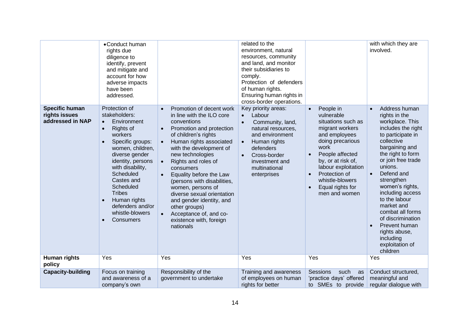|                                                            | •Conduct human<br>rights due<br>diligence to<br>identify, prevent<br>and mitigate and<br>account for how<br>adverse impacts<br>have been<br>addressed.                                                                                                                                                                                                    |                                                                                                                                                                                                                                                                                                                                                                                                                                                                                                                                     | related to the<br>environment, natural<br>resources, community<br>and land, and monitor<br>their subsidiaries to<br>comply.<br>Protection of defenders<br>of human rights.<br>Ensuring human rights in<br>cross-border operations.            |                                                                                                                                                                                                                                                                                                            | with which they are<br>involved.                                                                                                                                                                                                                                                                                                                                                                                         |
|------------------------------------------------------------|-----------------------------------------------------------------------------------------------------------------------------------------------------------------------------------------------------------------------------------------------------------------------------------------------------------------------------------------------------------|-------------------------------------------------------------------------------------------------------------------------------------------------------------------------------------------------------------------------------------------------------------------------------------------------------------------------------------------------------------------------------------------------------------------------------------------------------------------------------------------------------------------------------------|-----------------------------------------------------------------------------------------------------------------------------------------------------------------------------------------------------------------------------------------------|------------------------------------------------------------------------------------------------------------------------------------------------------------------------------------------------------------------------------------------------------------------------------------------------------------|--------------------------------------------------------------------------------------------------------------------------------------------------------------------------------------------------------------------------------------------------------------------------------------------------------------------------------------------------------------------------------------------------------------------------|
| <b>Specific human</b><br>rights issues<br>addressed in NAP | Protection of<br>stakeholders:<br>Environment<br>$\bullet$<br>Rights of<br>$\bullet$<br>workers<br>Specific groups:<br>$\bullet$<br>women, children,<br>diverse gender<br>identity, persons<br>with disability,<br>Scheduled<br>Castes and<br>Scheduled<br><b>Tribes</b><br>Human rights<br>$\bullet$<br>defenders and/or<br>whistle-blowers<br>Consumers | Promotion of decent work<br>$\bullet$<br>in line with the ILO core<br>conventions<br>Promotion and protection<br>$\bullet$<br>of children's rights<br>Human rights associated<br>with the development of<br>new technologies<br>Rights and roles of<br>$\bullet$<br>consumers<br>Equality before the Law<br>$\bullet$<br>(persons with disabilities,<br>women, persons of<br>diverse sexual orientation<br>and gender identity, and<br>other groups)<br>Acceptance of, and co-<br>$\bullet$<br>existence with, foreign<br>nationals | Key priority areas:<br>Labour<br>$\bullet$<br>Community, land,<br>$\bullet$<br>natural resources,<br>and environment<br>Human rights<br>$\bullet$<br>defenders<br>Cross-border<br>$\bullet$<br>investment and<br>multinational<br>enterprises | People in<br>$\bullet$<br>vulnerable<br>situations such as<br>migrant workers<br>and employees<br>doing precarious<br>work<br>People affected<br>$\bullet$<br>by, or at risk of,<br>labour exploitation<br>Protection of<br>$\bullet$<br>whistle-blowers<br>Equal rights for<br>$\bullet$<br>men and women | Address human<br>rights in the<br>workplace. This<br>includes the right<br>to participate in<br>collective<br>bargaining and<br>the right to form<br>or join free trade<br>unions.<br>Defend and<br>$\bullet$<br>strengthen<br>women's rights,<br>including access<br>to the labour<br>market and<br>combat all forms<br>of discrimination<br>Prevent human<br>rights abuse,<br>including<br>exploitation of<br>children |
| Human rights<br>policy                                     | Yes                                                                                                                                                                                                                                                                                                                                                       | Yes                                                                                                                                                                                                                                                                                                                                                                                                                                                                                                                                 | Yes                                                                                                                                                                                                                                           | Yes                                                                                                                                                                                                                                                                                                        | Yes                                                                                                                                                                                                                                                                                                                                                                                                                      |
| <b>Capacity-building</b>                                   | Focus on training                                                                                                                                                                                                                                                                                                                                         | Responsibility of the                                                                                                                                                                                                                                                                                                                                                                                                                                                                                                               | Training and awareness                                                                                                                                                                                                                        | <b>Sessions</b><br>such<br>as                                                                                                                                                                                                                                                                              | Conduct structured,                                                                                                                                                                                                                                                                                                                                                                                                      |
|                                                            | and awareness of a<br>company's own                                                                                                                                                                                                                                                                                                                       | government to undertake                                                                                                                                                                                                                                                                                                                                                                                                                                                                                                             | of employees on human<br>rights for better                                                                                                                                                                                                    | 'practice days' offered<br>to SMEs to provide                                                                                                                                                                                                                                                              | meaningful and<br>regular dialogue with                                                                                                                                                                                                                                                                                                                                                                                  |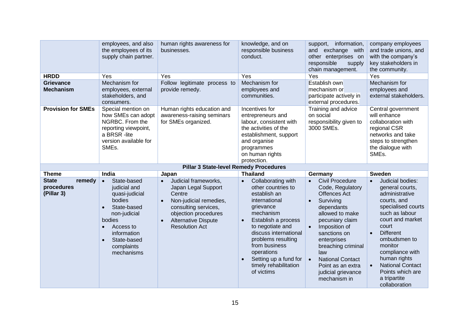|                                                    | employees, and also<br>the employees of its<br>supply chain partner.                                                                                                                                                        | human rights awareness for<br>businesses.                                                                                                                                                                                     | knowledge, and on<br>responsible business<br>conduct.                                                                                                                                                                                                                                                                  | information,<br>support,<br>exchange with<br>and<br>other enterprises on<br>responsible<br>supply<br>chain management.                                                                                                                                                                                                                                    | company employees<br>and trade unions, and<br>with the company's<br>key stakeholders in<br>the community.                                                                                                                                                                                                                                          |
|----------------------------------------------------|-----------------------------------------------------------------------------------------------------------------------------------------------------------------------------------------------------------------------------|-------------------------------------------------------------------------------------------------------------------------------------------------------------------------------------------------------------------------------|------------------------------------------------------------------------------------------------------------------------------------------------------------------------------------------------------------------------------------------------------------------------------------------------------------------------|-----------------------------------------------------------------------------------------------------------------------------------------------------------------------------------------------------------------------------------------------------------------------------------------------------------------------------------------------------------|----------------------------------------------------------------------------------------------------------------------------------------------------------------------------------------------------------------------------------------------------------------------------------------------------------------------------------------------------|
| <b>HRDD</b>                                        | Yes                                                                                                                                                                                                                         | Yes                                                                                                                                                                                                                           | Yes                                                                                                                                                                                                                                                                                                                    | Yes                                                                                                                                                                                                                                                                                                                                                       | Yes                                                                                                                                                                                                                                                                                                                                                |
| <b>Grievance</b><br><b>Mechanism</b>               | Mechanism for<br>employees, external<br>stakeholders, and<br>consumers.                                                                                                                                                     | Follow legitimate process to<br>provide remedy.                                                                                                                                                                               | Mechanism for<br>employees and<br>communities.                                                                                                                                                                                                                                                                         | Establish own<br>mechanism or<br>participate actively in<br>external procedures.                                                                                                                                                                                                                                                                          | Mechanism for<br>employees and<br>external stakeholders.                                                                                                                                                                                                                                                                                           |
| <b>Provision for SMEs</b>                          | Special mention on<br>how SMEs can adopt<br>NGRBC. From the<br>reporting viewpoint,<br>a BRSR -lite<br>version available for<br>SMEs.                                                                                       | Human rights education and<br>awareness-raising seminars<br>for SMEs organized.                                                                                                                                               | Incentives for<br>entrepreneurs and<br>labour, consistent with<br>the activities of the<br>establishment, support<br>and organise<br>programmes<br>on human rights<br>protection.                                                                                                                                      | Training and advice<br>on social<br>responsibility given to<br>3000 SMEs.                                                                                                                                                                                                                                                                                 | Central government<br>will enhance<br>collaboration with<br>regional CSR<br>networks and take<br>steps to strengthen<br>the dialogue with<br>SME <sub>s</sub> .                                                                                                                                                                                    |
|                                                    |                                                                                                                                                                                                                             | <b>Pillar 3 State-level Remedy Procedures</b>                                                                                                                                                                                 |                                                                                                                                                                                                                                                                                                                        |                                                                                                                                                                                                                                                                                                                                                           |                                                                                                                                                                                                                                                                                                                                                    |
| <b>Theme</b>                                       | India                                                                                                                                                                                                                       | Japan                                                                                                                                                                                                                         | <b>Thailand</b>                                                                                                                                                                                                                                                                                                        | Germany                                                                                                                                                                                                                                                                                                                                                   | <b>Sweden</b>                                                                                                                                                                                                                                                                                                                                      |
| <b>State</b><br>remedy<br>procedures<br>(Pillar 3) | State-based<br>$\bullet$<br>judicial and<br>quasi-judicial<br>bodies<br>State-based<br>$\bullet$<br>non-judicial<br>bodies<br>Access to<br>$\bullet$<br>information<br>State-based<br>$\bullet$<br>complaints<br>mechanisms | Judicial frameworks,<br>$\bullet$<br>Japan Legal Support<br>Centre<br>Non-judicial remedies,<br>$\bullet$<br>consulting services,<br>objection procedures<br><b>Alternative Dispute</b><br>$\bullet$<br><b>Resolution Act</b> | Collaborating with<br>$\bullet$<br>other countries to<br>establish an<br>international<br>grievance<br>mechanism<br>Establish a process<br>$\bullet$<br>to negotiate and<br>discuss international<br>problems resulting<br>from business<br>operations<br>Setting up a fund for<br>timely rehabilitation<br>of victims | <b>Civil Procedure</b><br>$\bullet$<br>Code, Regulatory<br><b>Offences Act</b><br>Surviving<br>$\bullet$<br>dependants<br>allowed to make<br>pecuniary claim<br>Imposition of<br>$\bullet$<br>sanctions on<br>enterprises<br>breaching criminal<br>law<br><b>National Contact</b><br>$\bullet$<br>Point as an extra<br>judicial grievance<br>mechanism in | Judicial bodies:<br>$\bullet$<br>general courts,<br>administrative<br>courts, and<br>specialised courts<br>such as labour<br>court and market<br>court<br><b>Different</b><br>$\bullet$<br>ombudsmen to<br>monitor<br>compliance with<br>human rights<br><b>National Contact</b><br>$\bullet$<br>Points which are<br>a tripartite<br>collaboration |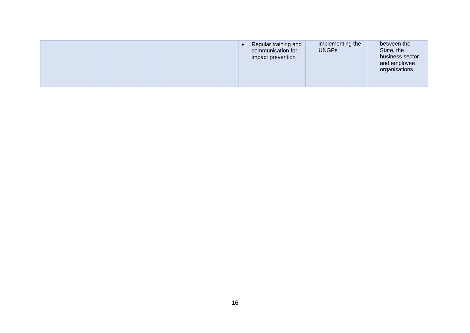| implementing the     | between the     |
|----------------------|-----------------|
| Regular training and | State, the      |
| <b>UNGPs</b>         | business sector |
| communication for    | and employee    |
| impact prevention    | organisations   |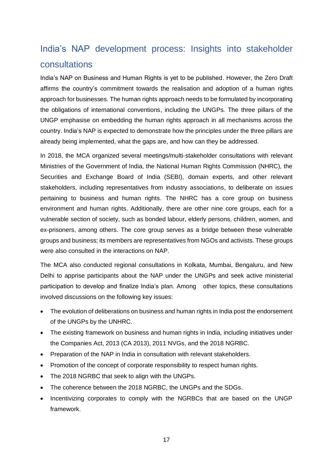# <span id="page-17-0"></span>India's NAP development process: Insights into stakeholder consultations

India's NAP on Business and Human Rights is yet to be published. However, the Zero Draft affirms the country's commitment towards the realisation and adoption of a human rights approach for businesses. The human rights approach needs to be formulated by incorporating the obligations of international conventions, including the UNGPs. The three pillars of the UNGP emphasise on embedding the human rights approach in all mechanisms across the country. India's NAP is expected to demonstrate how the principles under the three pillars are already being implemented, what the gaps are, and how can they be addressed.

In 2018, the MCA organized several meetings/multi-stakeholder consultations with relevant Ministries of the Government of India, the National Human Rights Commission (NHRC), the Securities and Exchange Board of India (SEBI), domain experts, and other relevant stakeholders, including representatives from industry associations, to deliberate on issues pertaining to business and human rights. The NHRC has a core group on business environment and human rights. Additionally, there are other nine core groups, each for a vulnerable section of society, such as bonded labour, elderly persons, children, women, and ex-prisoners, among others. The core group serves as a bridge between these vulnerable groups and business; its members are representatives from NGOs and activists. These groups were also consulted in the interactions on NAP.

The MCA also conducted regional consultations in Kolkata, Mumbai, Bengaluru, and New Delhi to apprise participants about the NAP under the UNGPs and seek active ministerial participation to develop and finalize India's plan. Among other topics, these consultations involved discussions on the following key issues:

- The evolution of deliberations on business and human rights in India post the endorsement of the UNGPs by the UNHRC.
- The existing framework on business and human rights in India, including initiatives under the Companies Act, 2013 (CA 2013), 2011 NVGs, and the 2018 NGRBC.
- Preparation of the NAP in India in consultation with relevant stakeholders.
- Promotion of the concept of corporate responsibility to respect human rights.
- The 2018 NGRBC that seek to align with the UNGPs.
- The coherence between the 2018 NGRBC, the UNGPs and the SDGs.
- Incentivizing corporates to comply with the NGRBCs that are based on the UNGP framework.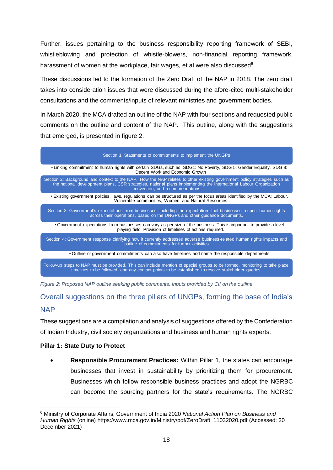Further, issues pertaining to the business responsibility reporting framework of SEBI, whistleblowing and protection of whistle-blowers, non-financial reporting framework, harassment of women at the workplace, fair wages, et al were also discussed<sup>6</sup>.

These discussions led to the formation of the Zero Draft of the NAP in 2018. The zero draft takes into consideration issues that were discussed during the afore-cited multi‐stakeholder consultations and the comments/inputs of relevant ministries and government bodies.

In March 2020, the MCA drafted an outline of the NAP with four sections and requested public comments on the outline and content of the NAP. This outline, along with the suggestions that emerged, is presented in figure 2.



*Figure 2: Proposed NAP outline seeking public comments. Inputs provided by CII on the outline*

# <span id="page-18-0"></span>Overall suggestions on the three pillars of UNGPs, forming the base of India's NAP

These suggestions are a compilation and analysis of suggestions offered by the Confederation of Indian Industry, civil society organizations and business and human rights experts.

#### **Pillar 1: State Duty to Protect**

• **Responsible Procurement Practices:** Within Pillar 1, the states can encourage businesses that invest in sustainability by prioritizing them for procurement. Businesses which follow responsible business practices and adopt the NGRBC can become the sourcing partners for the state's requirements. The NGRBC

<sup>6</sup> Ministry of Corporate Affairs, Government of India 2020 *National Action Plan on Business and Human Rights* (online) https://www.mca.gov.in/Ministry/pdf/ZeroDraft\_11032020.pdf (Accessed: 20 December 2021)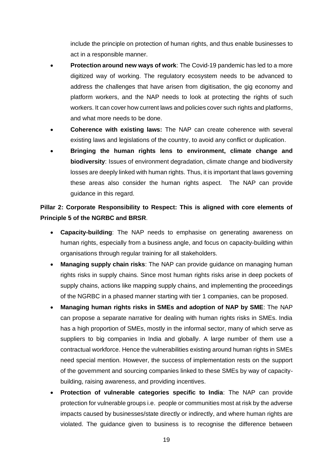include the principle on protection of human rights, and thus enable businesses to act in a responsible manner.

- **Protection around new ways of work**: The Covid-19 pandemic has led to a more digitized way of working. The regulatory ecosystem needs to be advanced to address the challenges that have arisen from digitisation, the gig economy and platform workers, and the NAP needs to look at protecting the rights of such workers. It can cover how current laws and policies cover such rights and platforms, and what more needs to be done.
- **Coherence with existing laws:** The NAP can create coherence with several existing laws and legislations of the country, to avoid any conflict or duplication.
- **Bringing the human rights lens to environment, climate change and biodiversity**: Issues of environment degradation, climate change and biodiversity losses are deeply linked with human rights. Thus, it is important that laws governing these areas also consider the human rights aspect. The NAP can provide guidance in this regard.

## **Pillar 2: Corporate Responsibility to Respect: This is aligned with core elements of Principle 5 of the NGRBC and BRSR**.

- **Capacity-building**: The NAP needs to emphasise on generating awareness on human rights, especially from a business angle, and focus on capacity-building within organisations through regular training for all stakeholders.
- **Managing supply chain risks**: The NAP can provide guidance on managing human rights risks in supply chains. Since most human rights risks arise in deep pockets of supply chains, actions like mapping supply chains, and implementing the proceedings of the NGRBC in a phased manner starting with tier 1 companies, can be proposed.
- **Managing human rights risks in SMEs and adoption of NAP by SME**: The NAP can propose a separate narrative for dealing with human rights risks in SMEs. India has a high proportion of SMEs, mostly in the informal sector, many of which serve as suppliers to big companies in India and globally. A large number of them use a contractual workforce. Hence the vulnerabilities existing around human rights in SMEs need special mention. However, the success of implementation rests on the support of the government and sourcing companies linked to these SMEs by way of capacitybuilding, raising awareness, and providing incentives.
- **Protection of vulnerable categories specific to India**: The NAP can provide protection for vulnerable groups i.e. people or communities most at risk by the adverse impacts caused by businesses/state directly or indirectly, and where human rights are violated. The guidance given to business is to recognise the difference between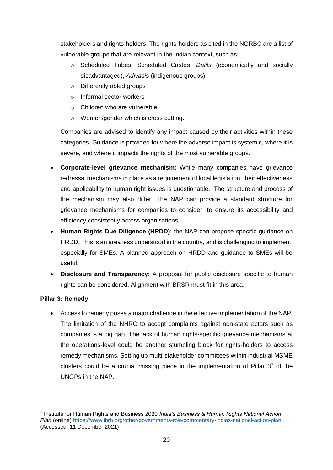stakeholders and rights-holders. The rights-holders as cited in the NGRBC are a list of vulnerable groups that are relevant in the Indian context, such as:

- o Scheduled Tribes, Scheduled Castes, *Dalits* (economically and socially disadvantaged), *Adivasis* (indigenous groups)
- o Differently abled groups
- o Informal sector workers
- o Children who are vulnerable
- o Women/gender which is cross cutting.

Companies are advised to identify any impact caused by their activities within these categories. Guidance is provided for where the adverse impact is systemic, where it is severe, and where it impacts the rights of the most vulnerable groups.

- **Corporate-level grievance mechanism**: While many companies have grievance redressal mechanisms in place as a requirement of local legislation, their effectiveness and applicability to human right issues is questionable. The structure and process of the mechanism may also differ. The NAP can provide a standard structure for grievance mechanisms for companies to consider, to ensure its accessibility and efficiency consistently across organisations.
- **Human Rights Due Diligence (HRDD)**: the NAP can propose specific guidance on HRDD. This is an area less understood in the country, and is challenging to implement, especially for SMEs. A planned approach on HRDD and guidance to SMEs will be useful.
- **Disclosure and Transparency:** A proposal for public disclosure specific to human rights can be considered. Alignment with BRSR must fit in this area.

#### **Pillar 3: Remedy**

• Access to remedy poses a major challenge in the effective implementation of the NAP. The limitation of the NHRC to accept complaints against non-state actors such as companies is a big gap. The lack of human rights-specific grievance mechanisms at the operations-level could be another stumbling block for rights-holders to access remedy mechanisms. Setting up multi-stakeholder committees within industrial MSME clusters could be a crucial missing piece in the implementation of Pillar  $3<sup>7</sup>$  of the UNGPs in the NAP.

<sup>7</sup> Institute for Human Rights and Business 2020 *India's Business & Human Rights National Action Plan* (online)<https://www.ihrb.org/other/governments-role/commentary-indias-national-action-plan> (Accessed: 11 December 2021)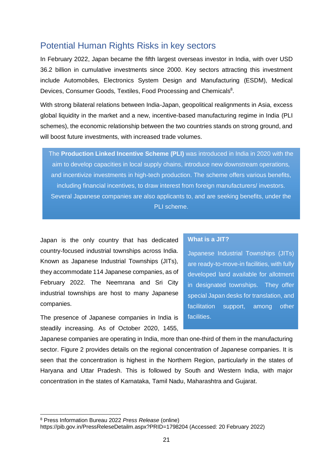## <span id="page-21-0"></span>Potential Human Rights Risks in key sectors

In February 2022, Japan became the fifth largest overseas investor in India, with over USD 36.2 billion in cumulative investments since 2000. Key sectors attracting this investment include Automobiles, Electronics System Design and Manufacturing (ESDM), Medical Devices, Consumer Goods, Textiles, Food Processing and Chemicals<sup>8</sup>.

With strong bilateral relations between India-Japan, geopolitical realignments in Asia, excess global liquidity in the market and a new, incentive-based manufacturing regime in India (PLI schemes), the economic relationship between the two countries stands on strong ground, and will boost future investments, with increased trade volumes.

The **Production Linked Incentive Scheme (PLI)** was introduced in India in 2020 with the aim to develop capacities in local supply chains, introduce new downstream operations, and incentivize investments in high-tech production. The scheme offers various benefits, including financial incentives, to draw interest from foreign manufacturers/ investors. Several Japanese companies are also applicants to, and are seeking benefits, under the PLI scheme.

Japan is the only country that has dedicated country-focused industrial townships across India. Known as Japanese Industrial Townships (JITs), they accommodate 114 Japanese companies, as of February 2022. The Neemrana and Sri City industrial townships are host to many Japanese companies.

The presence of Japanese companies in India is steadily increasing. As of October 2020, 1455,

#### **What is a JIT?**

Japanese Industrial Townships (JITs) are ready-to-move-in facilities, with fully developed land available for allotment in designated townships. They offer special Japan desks for translation, and facilitation support, among other facilities.

Japanese companies are operating in India, more than one-third of them in the manufacturing sector. Figure 2 provides details on the regional concentration of Japanese companies. It is seen that the concentration is highest in the Northern Region, particularly in the states of Haryana and Uttar Pradesh. This is followed by South and Western India, with major concentration in the states of Karnataka, Tamil Nadu, Maharashtra and Gujarat.

<sup>8</sup> Press Information Bureau 2022 *Press Release* (online)

https://pib.gov.in/PressReleseDetailm.aspx?PRID=1798204 (Accessed: 20 February 2022)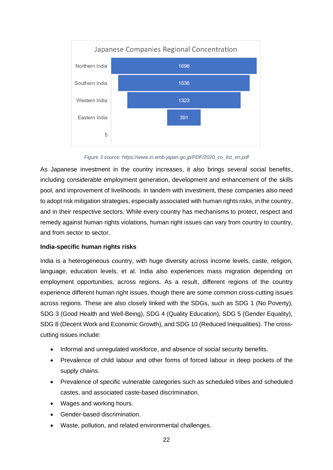

*Figure 3 source: https://www.in.emb-japan.go.jp/PDF/2020\_co\_list\_en.pdf*

As Japanese investment in the country increases, it also brings several social benefits, including considerable employment generation, development and enhancement of the skills pool, and improvement of livelihoods. In tandem with investment, these companies also need to adopt risk mitigation strategies, especially associated with human rights risks, in the country, and in their respective sectors. While every country has mechanisms to protect, respect and remedy against human rights violations, human right issues can vary from country to country, and from sector to sector.

#### **India-specific human rights risks**

India is a heterogeneous country, with huge diversity across income levels, caste, religion, language, education levels, et al. India also experiences mass migration depending on employment opportunities, across regions. As a result, different regions of the country experience different human right issues, though there are some common cross-cutting issues across regions. These are also closely linked with the SDGs, such as SDG 1 (No Poverty), SDG 3 (Good Health and Well-Being), SDG 4 (Quality Education), SDG 5 (Gender Equality), SDG 8 (Decent Work and Economic Growth), and SDG 10 (Reduced Inequalities). The crosscutting issues include:

- Informal and unregulated workforce, and absence of social security benefits.
- Prevalence of child labour and other forms of forced labour in deep pockets of the supply chains.
- Prevalence of specific vulnerable categories such as scheduled tribes and scheduled castes, and associated caste-based discrimination.
- Wages and working hours.
- Gender-based discrimination.
- Waste, pollution, and related environmental challenges.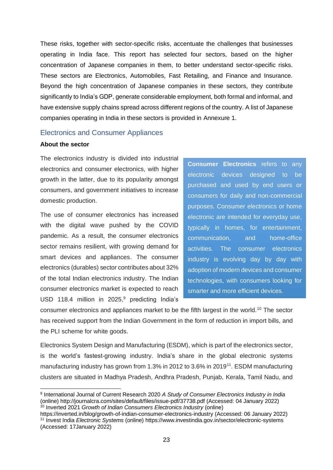These risks, together with sector-specific risks, accentuate the challenges that businesses operating in India face. This report has selected four sectors, based on the higher concentration of Japanese companies in them, to better understand sector-specific risks. These sectors are Electronics, Automobiles, Fast Retailing, and Finance and Insurance. Beyond the high concentration of Japanese companies in these sectors, they contribute significantly to India's GDP, generate considerable employment, both formal and informal, and have extensive supply chains spread across different regions of the country. A list of Japanese companies operating in India in these sectors is provided in Annexure 1.

#### <span id="page-23-0"></span>Electronics and Consumer Appliances

#### **About the sector**

The electronics industry is divided into industrial electronics and consumer electronics, with higher growth in the latter, due to its popularity amongst consumers, and government initiatives to increase domestic production.

The use of consumer electronics has increased with the digital wave pushed by the COVID pandemic. As a result, the consumer electronics sector remains resilient, with growing demand for smart devices and appliances. The consumer electronics (durables) sector contributes about 32% of the total Indian electronics industry. The Indian consumer electronics market is expected to reach USD 118.4 million in 2025, <sup>9</sup> predicting India's

**Consumer Electronics** refers to any electronic devices designed to be purchased and used by end users or consumers for daily and non-commercial purposes. Consumer electronics or home electronic are intended for everyday use, typically in homes, for entertainment, communication, and home-office activities. The consumer electronics industry is evolving day by day with adoption of modern devices and consumer technologies, with consumers looking for smarter and more efficient devices.

consumer electronics and appliances market to be the fifth largest in the world.<sup>10</sup> The sector has received support from the Indian Government in the form of reduction in import bills, and the PLI scheme for white goods.

Electronics System Design and Manufacturing (ESDM), which is part of the electronics sector, is the world's fastest-growing industry. India's share in the global electronic systems manufacturing industry has grown from 1.3% in 2012 to 3.6% in 2019<sup>11</sup>. ESDM manufacturing clusters are situated in Madhya Pradesh, Andhra Pradesh, Punjab, Kerala, Tamil Nadu, and

<sup>9</sup> International Journal of Current Research 2020 *A Study of Consumer Electronics Industry in India* (online) http://journalcra.com/sites/default/files/issue-pdf/37738.pdf (Accessed: 04 January 2022) <sup>10</sup> Inverted 2021 *Growth of Indian Consumers Electronics Industry* (online)

https://inverted.in/blog/growth-of-indian-consumer-electronics-industry (Accessed: 06 January 2022) <sup>11</sup> Invest India *Electronic Systems* (online) https://www.investindia.gov.in/sector/electronic-systems (Accessed: 17January 2022)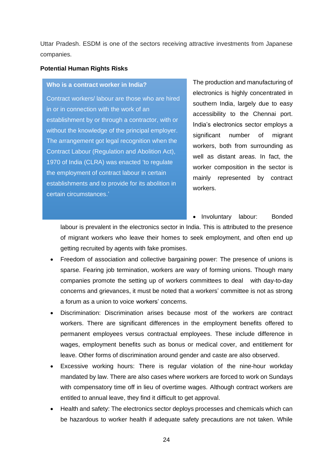Uttar Pradesh. ESDM is one of the sectors receiving attractive investments from Japanese companies.

#### **Potential Human Rights Risks**

#### **Who is a contract worker in India?**

Contract workers/ labour are those who are hired in or in connection with the work of an establishment by or through a contractor, with or without the knowledge of the principal employer. The arrangement got legal recognition when the Contract Labour (Regulation and Abolition Act), 1970 of India (CLRA) was enacted 'to regulate the employment of contract labour in certain establishments and to provide for its abolition in certain circumstances.'

The production and manufacturing of electronics is highly concentrated in southern India, largely due to easy accessibility to the Chennai port. India's electronics sector employs a significant number of migrant workers, both from surrounding as well as distant areas. In fact, the worker composition in the sector is mainly represented by contract workers.

• Involuntary labour: Bonded

labour is prevalent in the electronics sector in India. This is attributed to the presence of migrant workers who leave their homes to seek employment, and often end up getting recruited by agents with fake promises.

- Freedom of association and collective bargaining power: The presence of unions is sparse. Fearing job termination, workers are wary of forming unions. Though many companies promote the setting up of workers committees to deal with day-to-day concerns and grievances, it must be noted that a workers' committee is not as strong a forum as a union to voice workers' concerns.
- Discrimination: Discrimination arises because most of the workers are contract workers. There are significant differences in the employment benefits offered to permanent employees versus contractual employees. These include difference in wages, employment benefits such as bonus or medical cover, and entitlement for leave. Other forms of discrimination around gender and caste are also observed.
- Excessive working hours: There is regular violation of the nine-hour workday mandated by law. There are also cases where workers are forced to work on Sundays with compensatory time off in lieu of overtime wages. Although contract workers are entitled to annual leave, they find it difficult to get approval.
- Health and safety: The electronics sector deploys processes and chemicals which can be hazardous to worker health if adequate safety precautions are not taken. While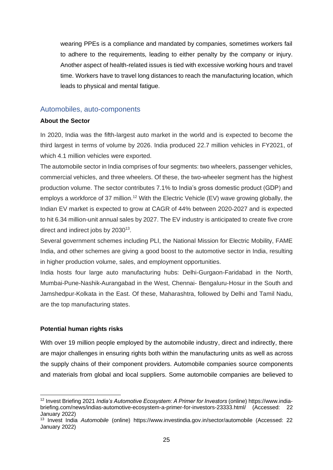wearing PPEs is a compliance and mandated by companies, sometimes workers fail to adhere to the requirements, leading to either penalty by the company or injury. Another aspect of health-related issues is tied with excessive working hours and travel time. Workers have to travel long distances to reach the manufacturing location, which leads to physical and mental fatigue.

#### <span id="page-25-0"></span>Automobiles, auto-components

#### **About the Sector**

In 2020, India was the fifth-largest auto market in the world and is expected to become the third largest in terms of volume by 2026. India produced 22.7 million vehicles in FY2021, of which 4.1 million vehicles were exported.

The automobile sector in India comprises of four segments: two wheelers, passenger vehicles, commercial vehicles, and three wheelers. Of these, the two-wheeler segment has the highest production volume. The sector contributes 7.1% to India's gross domestic product (GDP) and employs a workforce of 37 million.<sup>12</sup> With the Electric Vehicle (EV) wave growing globally, the Indian EV market is expected to grow at CAGR of 44% between 2020-2027 and is expected to hit 6.34 million-unit annual sales by 2027. The EV industry is anticipated to create five crore direct and indirect jobs by  $2030^{13}$ .

Several government schemes including PLI, the National Mission for Electric Mobility, FAME India, and other schemes are giving a good boost to the automotive sector in India, resulting in higher production volume, sales, and employment opportunities.

India hosts four large auto manufacturing hubs: Delhi-Gurgaon-Faridabad in the North, Mumbai-Pune-Nashik-Aurangabad in the West, Chennai- Bengaluru-Hosur in the South and Jamshedpur-Kolkata in the East. Of these, Maharashtra, followed by Delhi and Tamil Nadu, are the top manufacturing states.

#### **Potential human rights risks**

With over 19 million people employed by the automobile industry, direct and indirectly, there are major challenges in ensuring rights both within the manufacturing units as well as across the supply chains of their component providers. Automobile companies source components and materials from global and local suppliers. Some automobile companies are believed to

<sup>12</sup> Invest Briefing 2021 *India's Automotive Ecosystem: A Primer for Investors* (online) https://www.indiabriefing.com/news/indias-automotive-ecosystem-a-primer-for-investors-23333.html/ (Accessed: 22 January 2022)

<sup>13</sup> Invest India *Automobile* (online) https://www.investindia.gov.in/sector/automobile (Accessed: 22 January 2022)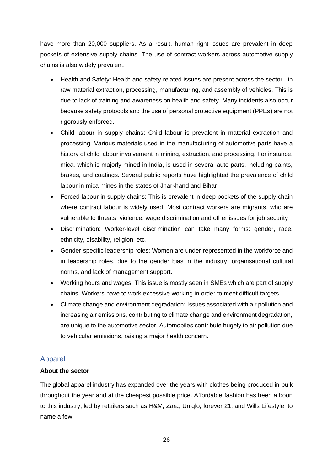have more than 20,000 suppliers. As a result, human right issues are prevalent in deep pockets of extensive supply chains. The use of contract workers across automotive supply chains is also widely prevalent.

- Health and Safety: Health and safety-related issues are present across the sector in raw material extraction, processing, manufacturing, and assembly of vehicles. This is due to lack of training and awareness on health and safety. Many incidents also occur because safety protocols and the use of personal protective equipment (PPEs) are not rigorously enforced.
- Child labour in supply chains: Child labour is prevalent in material extraction and processing. Various materials used in the manufacturing of automotive parts have a history of child labour involvement in mining, extraction, and processing. For instance, mica, which is majorly mined in India, is used in several auto parts, including paints, brakes, and coatings. Several public reports have highlighted the prevalence of child labour in mica mines in the states of Jharkhand and Bihar.
- Forced labour in supply chains: This is prevalent in deep pockets of the supply chain where contract labour is widely used. Most contract workers are migrants, who are vulnerable to threats, violence, wage discrimination and other issues for job security.
- Discrimination: Worker-level discrimination can take many forms: gender, race, ethnicity, disability, religion, etc.
- Gender-specific leadership roles: Women are under-represented in the workforce and in leadership roles, due to the gender bias in the industry, organisational cultural norms, and lack of management support.
- Working hours and wages: This issue is mostly seen in SMEs which are part of supply chains. Workers have to work excessive working in order to meet difficult targets.
- Climate change and environment degradation: Issues associated with air pollution and increasing air emissions, contributing to climate change and environment degradation, are unique to the automotive sector. Automobiles contribute hugely to air pollution due to vehicular emissions, raising a major health concern.

## <span id="page-26-0"></span>Apparel

## **About the sector**

The global apparel industry has expanded over the years with clothes being produced in bulk throughout the year and at the cheapest possible price. Affordable fashion has been a boon to this industry, led by retailers such as H&M, Zara, Uniqlo, forever 21, and Wills Lifestyle, to name a few.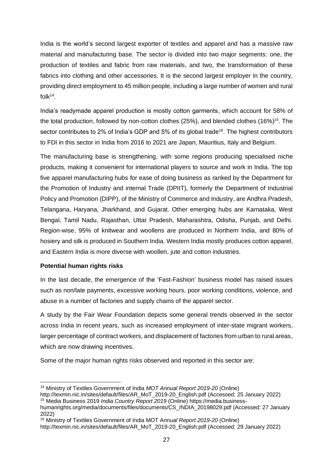India is the world's second largest exporter of textiles and apparel and has a massive raw material and manufacturing base. The sector is divided into two major segments: one, the production of textiles and fabric from raw materials, and two, the transformation of these fabrics into clothing and other accessories. It is the second largest employer in the country, providing direct employment to 45 million people, including a large number of women and rural folk $14$ .

India's readymade apparel production is mostly cotton garments, which account for 58% of the total production, followed by non-cotton clothes (25%), and blended clothes (16%) <sup>15</sup>. The sector contributes to 2% of India's GDP and 5% of its global trade<sup>16</sup>. The highest contributors to FDI in this sector in India from 2016 to 2021 are Japan, Mauritius, Italy and Belgium.

The manufacturing base is strengthening, with some regions producing specialised niche products, making it convenient for international players to source and work in India. The top five apparel manufacturing hubs for ease of doing business as ranked by the Department for the Promotion of Industry and internal Trade (DPIIT), formerly the Department of Industrial Policy and Promotion (DIPP), of the Ministry of Commerce and Industry, are Andhra Pradesh, Telangana, Haryana, Jharkhand, and Gujarat. Other emerging hubs are Karnataka, West Bengal, Tamil Nadu, Rajasthan, Uttar Pradesh, Maharashtra, Odisha, Punjab, and Delhi. Region-wise, 95% of knitwear and woollens are produced in Northern India, and 80% of hosiery and silk is produced in Southern India. Western India mostly produces cotton apparel, and Eastern India is more diverse with woollen, jute and cotton industries.

#### **Potential human rights risks**

In the last decade, the emergence of the 'Fast-Fashion' business model has raised issues such as non/late payments, excessive working hours, poor working conditions, violence, and abuse in a number of factories and supply chains of the apparel sector.

A study by the Fair Wear Foundation depicts some general trends observed in the sector across India in recent years, such as increased employment of inter-state migrant workers, larger percentage of contract workers, and displacement of factories from urban to rural areas, which are now drawing incentives.

Some of the major human rights risks observed and reported in this sector are:

<sup>14</sup> Ministry of Textiles Government of India *MOT Annual Report 2019-20* (Online)

http://texmin.nic.in/sites/default/files/AR\_MoT\_2019-20\_English.pdf (Accessed: 25 January 2022)

<sup>15</sup> Media Business 2019 *India Country Report 2019* (Online) https://media.business-

humanrights.org/media/documents/files/documents/CS\_INDIA\_20198029.pdf (Accessed: 27 January 2022)

<sup>16</sup> Ministry of Textiles Government of India MOT Ann*ual Report 2019-20* (Online)

http://texmin.nic.in/sites/default/files/AR\_MoT\_2019-20\_English.pdf (Accessed: 29 January 2022)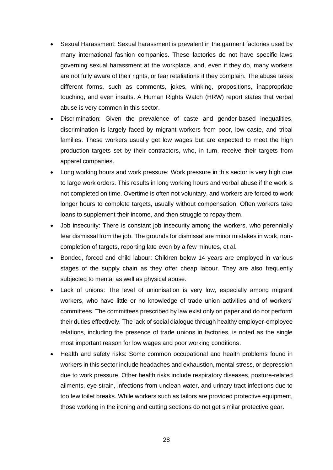- Sexual Harassment: Sexual harassment is prevalent in the garment factories used by many international fashion companies. These factories do not have specific laws governing sexual harassment at the workplace, and, even if they do, many workers are not fully aware of their rights, or fear retaliations if they complain. The abuse takes different forms, such as comments, jokes, winking, propositions, inappropriate touching, and even insults. A Human Rights Watch (HRW) report states that verbal abuse is very common in this sector.
- Discrimination: Given the prevalence of caste and gender-based inequalities, discrimination is largely faced by migrant workers from poor, low caste, and tribal families. These workers usually get low wages but are expected to meet the high production targets set by their contractors, who, in turn, receive their targets from apparel companies.
- Long working hours and work pressure: Work pressure in this sector is very high due to large work orders. This results in long working hours and verbal abuse if the work is not completed on time. Overtime is often not voluntary, and workers are forced to work longer hours to complete targets, usually without compensation. Often workers take loans to supplement their income, and then struggle to repay them.
- Job insecurity: There is constant job insecurity among the workers, who perennially fear dismissal from the job. The grounds for dismissal are minor mistakes in work, noncompletion of targets, reporting late even by a few minutes, et al.
- Bonded, forced and child labour: Children below 14 years are employed in various stages of the supply chain as they offer cheap labour. They are also frequently subjected to mental as well as physical abuse.
- Lack of unions: The level of unionisation is very low, especially among migrant workers, who have little or no knowledge of trade union activities and of workers' committees. The committees prescribed by law exist only on paper and do not perform their duties effectively. The lack of social dialogue through healthy employer-employee relations, including the presence of trade unions in factories, is noted as the single most important reason for low wages and poor working conditions.
- Health and safety risks: Some common occupational and health problems found in workers in this sector include headaches and exhaustion, mental stress, or depression due to work pressure. Other health risks include respiratory diseases, posture-related ailments, eye strain, infections from unclean water, and urinary tract infections due to too few toilet breaks. While workers such as tailors are provided protective equipment, those working in the ironing and cutting sections do not get similar protective gear.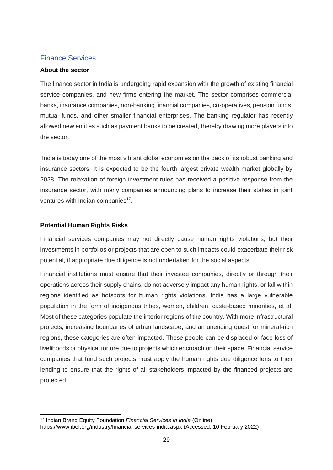### <span id="page-29-0"></span>Finance Services

#### **About the sector**

The finance sector in India is undergoing rapid expansion with the growth of existing financial service companies, and new firms entering the market. The sector comprises commercial banks, insurance companies, non-banking financial companies, co-operatives, pension funds, mutual funds, and other smaller financial enterprises. The banking regulator has recently allowed new entities such as payment banks to be created, thereby drawing more players into the sector.

India is today one of the most vibrant global economies on the back of its robust banking and insurance sectors. It is expected to be the fourth largest private wealth market globally by 2028. The relaxation of foreign investment rules has received a positive response from the insurance sector, with many companies announcing plans to increase their stakes in joint ventures with Indian companies<sup>17</sup>.

#### **Potential Human Rights Risks**

Financial services companies may not directly cause human rights violations, but their investments in portfolios or projects that are open to such impacts could exacerbate their risk potential, if appropriate due diligence is not undertaken for the social aspects.

Financial institutions must ensure that their investee companies, directly or through their operations across their supply chains, do not adversely impact any human rights, or fall within regions identified as hotspots for human rights violations. India has a large vulnerable population in the form of indigenous tribes, women, children, caste-based minorities, et al. Most of these categories populate the interior regions of the country. With more infrastructural projects, increasing boundaries of urban landscape, and an unending quest for mineral-rich regions, these categories are often impacted. These people can be displaced or face loss of livelihoods or physical torture due to projects which encroach on their space. Financial service companies that fund such projects must apply the human rights due diligence lens to their lending to ensure that the rights of all stakeholders impacted by the financed projects are protected.

<sup>17</sup> Indian Brand Equity Foundation *Financial Services in India* (Online) https://www.ibef.org/industry/financial-services-india.aspx (Accessed: 10 February 2022)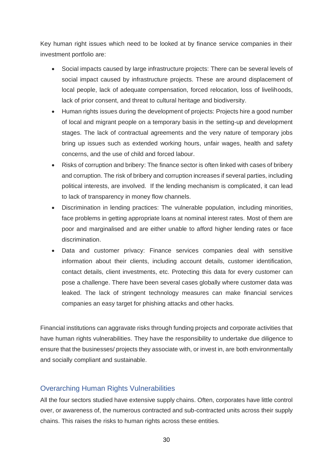Key human right issues which need to be looked at by finance service companies in their investment portfolio are:

- Social impacts caused by large infrastructure projects: There can be several levels of social impact caused by infrastructure projects. These are around displacement of local people, lack of adequate compensation, forced relocation, loss of livelihoods, lack of prior consent, and threat to cultural heritage and biodiversity.
- Human rights issues during the development of projects: Projects hire a good number of local and migrant people on a temporary basis in the setting-up and development stages. The lack of contractual agreements and the very nature of temporary jobs bring up issues such as extended working hours, unfair wages, health and safety concerns, and the use of child and forced labour.
- Risks of corruption and bribery: The finance sector is often linked with cases of bribery and corruption. The risk of bribery and corruption increases if several parties, including political interests, are involved. If the lending mechanism is complicated, it can lead to lack of transparency in money flow channels.
- Discrimination in lending practices: The vulnerable population, including minorities, face problems in getting appropriate loans at nominal interest rates. Most of them are poor and marginalised and are either unable to afford higher lending rates or face discrimination.
- Data and customer privacy: Finance services companies deal with sensitive information about their clients, including account details, customer identification, contact details, client investments, etc. Protecting this data for every customer can pose a challenge. There have been several cases globally where customer data was leaked. The lack of stringent technology measures can make financial services companies an easy target for phishing attacks and other hacks.

Financial institutions can aggravate risks through funding projects and corporate activities that have human rights vulnerabilities. They have the responsibility to undertake due diligence to ensure that the businesses/ projects they associate with, or invest in, are both environmentally and socially compliant and sustainable.

#### <span id="page-30-0"></span>Overarching Human Rights Vulnerabilities

All the four sectors studied have extensive supply chains. Often, corporates have little control over, or awareness of, the numerous contracted and sub-contracted units across their supply chains. This raises the risks to human rights across these entities.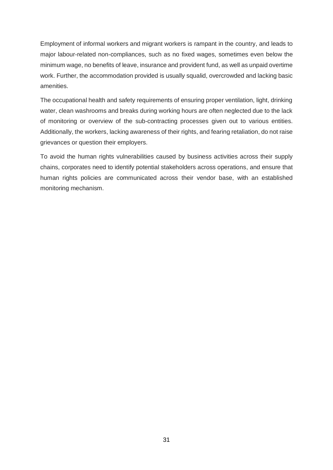Employment of informal workers and migrant workers is rampant in the country, and leads to major labour-related non-compliances, such as no fixed wages, sometimes even below the minimum wage, no benefits of leave, insurance and provident fund, as well as unpaid overtime work. Further, the accommodation provided is usually squalid, overcrowded and lacking basic amenities.

The occupational health and safety requirements of ensuring proper ventilation, light, drinking water, clean washrooms and breaks during working hours are often neglected due to the lack of monitoring or overview of the sub-contracting processes given out to various entities. Additionally, the workers, lacking awareness of their rights, and fearing retaliation, do not raise grievances or question their employers.

To avoid the human rights vulnerabilities caused by business activities across their supply chains, corporates need to identify potential stakeholders across operations, and ensure that human rights policies are communicated across their vendor base, with an established monitoring mechanism.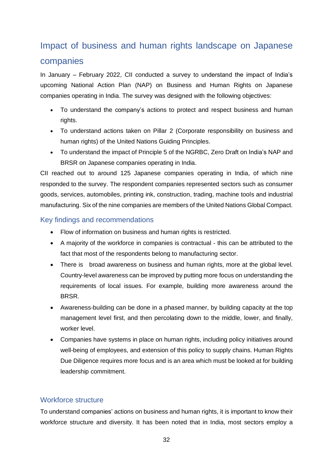# <span id="page-32-0"></span>Impact of business and human rights landscape on Japanese companies

In January – February 2022, CII conducted a survey to understand the impact of India's upcoming National Action Plan (NAP) on Business and Human Rights on Japanese companies operating in India. The survey was designed with the following objectives:

- To understand the company's actions to protect and respect business and human rights.
- To understand actions taken on Pillar 2 (Corporate responsibility on business and human rights) of the United Nations Guiding Principles.
- To understand the impact of Principle 5 of the NGRBC, Zero Draft on India's NAP and BRSR on Japanese companies operating in India.

CII reached out to around 125 Japanese companies operating in India, of which nine responded to the survey. The respondent companies represented sectors such as consumer goods, services, automobiles, printing ink, construction, trading, machine tools and industrial manufacturing. Six of the nine companies are members of the United Nations Global Compact.

## <span id="page-32-1"></span>Key findings and recommendations

- Flow of information on business and human rights is restricted.
- A majority of the workforce in companies is contractual this can be attributed to the fact that most of the respondents belong to manufacturing sector.
- There is broad awareness on business and human rights, more at the global level. Country-level awareness can be improved by putting more focus on understanding the requirements of local issues. For example, building more awareness around the BRSR.
- Awareness-building can be done in a phased manner, by building capacity at the top management level first, and then percolating down to the middle, lower, and finally, worker level.
- Companies have systems in place on human rights, including policy initiatives around well-being of employees, and extension of this policy to supply chains. Human Rights Due Diligence requires more focus and is an area which must be looked at for building leadership commitment.

## <span id="page-32-2"></span>Workforce structure

To understand companies' actions on business and human rights, it is important to know their workforce structure and diversity. It has been noted that in India, most sectors employ a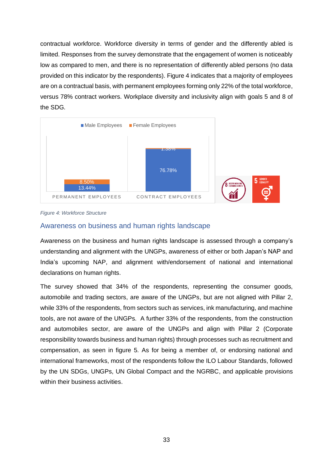contractual workforce. Workforce diversity in terms of gender and the differently abled is limited. Responses from the survey demonstrate that the engagement of women is noticeably low as compared to men, and there is no representation of differently abled persons (no data provided on this indicator by the respondents). Figure 4 indicates that a majority of employees are on a contractual basis, with permanent employees forming only 22% of the total workforce, versus 78% contract workers. Workplace diversity and inclusivity align with goals 5 and 8 of the SDG.



*Figure 4: Workforce Structure*

## <span id="page-33-0"></span>Awareness on business and human rights landscape

Awareness on the business and human rights landscape is assessed through a company's understanding and alignment with the UNGPs, awareness of either or both Japan's NAP and India's upcoming NAP, and alignment with/endorsement of national and international declarations on human rights.

The survey showed that 34% of the respondents, representing the consumer goods, automobile and trading sectors, are aware of the UNGPs, but are not aligned with Pillar 2, while 33% of the respondents, from sectors such as services, ink manufacturing, and machine tools, are not aware of the UNGPs. A further 33% of the respondents, from the construction and automobiles sector, are aware of the UNGPs and align with Pillar 2 (Corporate responsibility towards business and human rights) through processes such as recruitment and compensation, as seen in figure 5. As for being a member of, or endorsing national and international frameworks, most of the respondents follow the ILO Labour Standards, followed by the UN SDGs, UNGPs, UN Global Compact and the NGRBC, and applicable provisions within their business activities.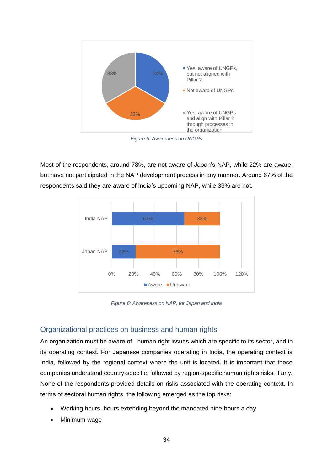

*Figure 5: Awareness on UNGPs*

Most of the respondents, around 78%, are not aware of Japan's NAP, while 22% are aware, but have not participated in the NAP development process in any manner. Around 67% of the respondents said they are aware of India's upcoming NAP, while 33% are not.



*Figure 6: Awareness on NAP, for Japan and India*

#### <span id="page-34-0"></span>Organizational practices on business and human rights

An organization must be aware of human right issues which are specific to its sector, and in its operating context. For Japanese companies operating in India, the operating context is India, followed by the regional context where the unit is located. It is important that these companies understand country-specific, followed by region-specific human rights risks, if any. None of the respondents provided details on risks associated with the operating context. In terms of sectoral human rights, the following emerged as the top risks:

- Working hours, hours extending beyond the mandated nine-hours a day
- Minimum wage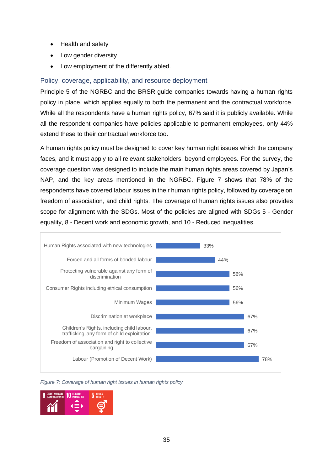- Health and safety
- Low gender diversity
- Low employment of the differently abled.

### <span id="page-35-0"></span>Policy, coverage, applicability, and resource deployment

Principle 5 of the NGRBC and the BRSR guide companies towards having a human rights policy in place, which applies equally to both the permanent and the contractual workforce. While all the respondents have a human rights policy, 67% said it is publicly available. While all the respondent companies have policies applicable to permanent employees, only 44% extend these to their contractual workforce too.

A human rights policy must be designed to cover key human right issues which the company faces, and it must apply to all relevant stakeholders, beyond employees. For the survey, the coverage question was designed to include the main human rights areas covered by Japan's NAP, and the key areas mentioned in the NGRBC. Figure 7 shows that 78% of the respondents have covered labour issues in their human rights policy, followed by coverage on freedom of association, and child rights. The coverage of human rights issues also provides scope for alignment with the SDGs. Most of the policies are aligned with SDGs 5 - Gender equality, 8 - Decent work and economic growth, and 10 - Reduced inequalities.



*Figure 7: Coverage of human right issues in human rights policy*

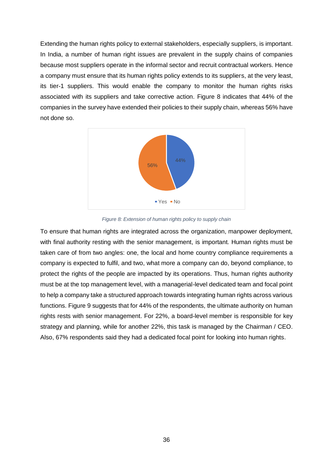Extending the human rights policy to external stakeholders, especially suppliers, is important. In India, a number of human right issues are prevalent in the supply chains of companies because most suppliers operate in the informal sector and recruit contractual workers. Hence a company must ensure that its human rights policy extends to its suppliers, at the very least, its tier-1 suppliers. This would enable the company to monitor the human rights risks associated with its suppliers and take corrective action. Figure 8 indicates that 44% of the companies in the survey have extended their policies to their supply chain, whereas 56% have not done so.



*Figure 8: Extension of human rights policy to supply chain*

To ensure that human rights are integrated across the organization, manpower deployment, with final authority resting with the senior management, is important. Human rights must be taken care of from two angles: one, the local and home country compliance requirements a company is expected to fulfil, and two, what more a company can do, beyond compliance, to protect the rights of the people are impacted by its operations. Thus, human rights authority must be at the top management level, with a managerial-level dedicated team and focal point to help a company take a structured approach towards integrating human rights across various functions. Figure 9 suggests that for 44% of the respondents, the ultimate authority on human rights rests with senior management. For 22%, a board-level member is responsible for key strategy and planning, while for another 22%, this task is managed by the Chairman / CEO. Also, 67% respondents said they had a dedicated focal point for looking into human rights.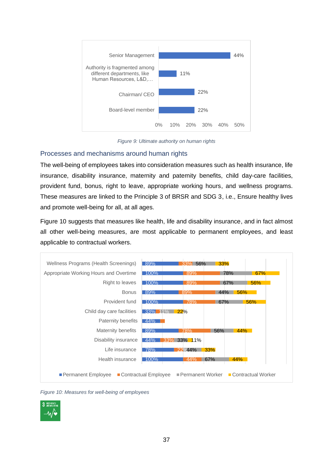

*Figure 9: Ultimate authority on human rights*

#### <span id="page-37-0"></span>Processes and mechanisms around human rights

The well-being of employees takes into consideration measures such as health insurance, life insurance, disability insurance, maternity and paternity benefits, child day-care facilities, provident fund, bonus, right to leave, appropriate working hours, and wellness programs. These measures are linked to the Principle 3 of BRSR and SDG 3, i.e., Ensure healthy lives and promote well-being for all, at all ages.

Figure 10 suggests that measures like health, life and disability insurance, and in fact almost all other well-being measures, are most applicable to permanent employees, and least applicable to contractual workers.



*Figure 10: Measures for well-being of employees*

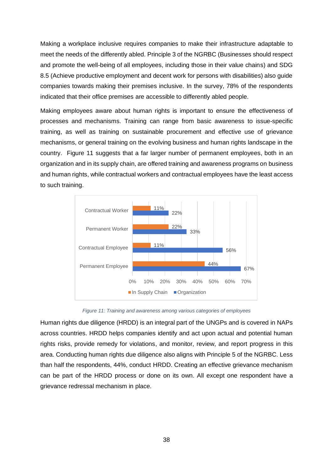Making a workplace inclusive requires companies to make their infrastructure adaptable to meet the needs of the differently abled. Principle 3 of the NGRBC (Businesses should respect and promote the well-being of all employees, including those in their value chains) and SDG 8.5 (Achieve productive employment and decent work for persons with disabilities) also guide companies towards making their premises inclusive. In the survey, 78% of the respondents indicated that their office premises are accessible to differently abled people.

Making employees aware about human rights is important to ensure the effectiveness of processes and mechanisms. Training can range from basic awareness to issue-specific training, as well as training on sustainable procurement and effective use of grievance mechanisms, or general training on the evolving business and human rights landscape in the country. Figure 11 suggests that a far larger number of permanent employees, both in an organization and in its supply chain, are offered training and awareness programs on business and human rights, while contractual workers and contractual employees have the least access to such training.



*Figure 11: Training and awareness among various categories of employees*

Human rights due diligence (HRDD) is an integral part of the UNGPs and is covered in NAPs across countries. HRDD helps companies identify and act upon actual and potential human rights risks, provide remedy for violations, and monitor, review, and report progress in this area. Conducting human rights due diligence also aligns with Principle 5 of the NGRBC. Less than half the respondents, 44%, conduct HRDD. Creating an effective grievance mechanism can be part of the HRDD process or done on its own. All except one respondent have a grievance redressal mechanism in place.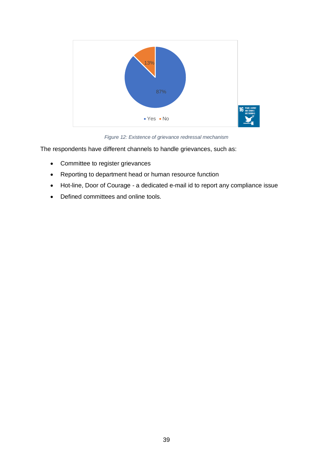

*Figure 12: Existence of grievance redressal mechanism*

The respondents have different channels to handle grievances, such as:

- Committee to register grievances
- Reporting to department head or human resource function
- Hot-line, Door of Courage a dedicated e-mail id to report any compliance issue
- Defined committees and online tools.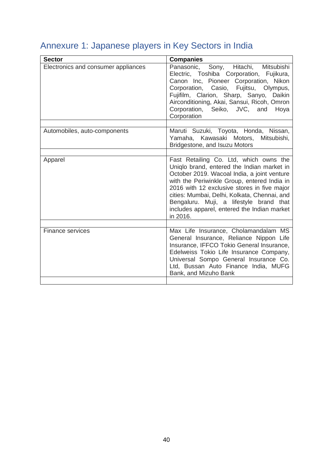# <span id="page-40-0"></span>Annexure 1: Japanese players in Key Sectors in India

| <b>Sector</b>                       | <b>Companies</b>                                                                                                                                                                                                                                                                                                                                                                        |
|-------------------------------------|-----------------------------------------------------------------------------------------------------------------------------------------------------------------------------------------------------------------------------------------------------------------------------------------------------------------------------------------------------------------------------------------|
| Electronics and consumer appliances | Sony, Hitachi, Mitsubishi<br>Panasonic,<br>Electric, Toshiba Corporation, Fujikura,<br>Canon Inc, Pioneer Corporation, Nikon<br>Corporation, Casio, Fujitsu, Olympus,<br>Fujifilm, Clarion, Sharp, Sanyo, Daikin<br>Airconditioning, Akai, Sansui, Ricoh, Omron<br>Corporation, Seiko, JVC, and<br>Hoya<br>Corporation                                                                  |
| Automobiles, auto-components        | Maruti Suzuki, Toyota, Honda, Nissan,<br>Yamaha, Kawasaki Motors,<br>Mitsubishi,<br>Bridgestone, and Isuzu Motors                                                                                                                                                                                                                                                                       |
| Apparel                             | Fast Retailing Co. Ltd, which owns the<br>Uniglo brand, entered the Indian market in<br>October 2019. Wacoal India, a joint venture<br>with the Periwinkle Group, entered India in<br>2016 with 12 exclusive stores in five major<br>cities: Mumbai, Delhi, Kolkata, Chennai, and<br>Bengaluru. Muji, a lifestyle brand that<br>includes apparel, entered the Indian market<br>in 2016. |
| Finance services                    | Max Life Insurance, Cholamandalam MS<br>General Insurance, Reliance Nippon Life<br>Insurance, IFFCO Tokio General Insurance,<br>Edelweiss Tokio Life Insurance Company,<br>Universal Sompo General Insurance Co.<br>Ltd, Bussan Auto Finance India, MUFG<br>Bank, and Mizuho Bank                                                                                                       |
|                                     |                                                                                                                                                                                                                                                                                                                                                                                         |